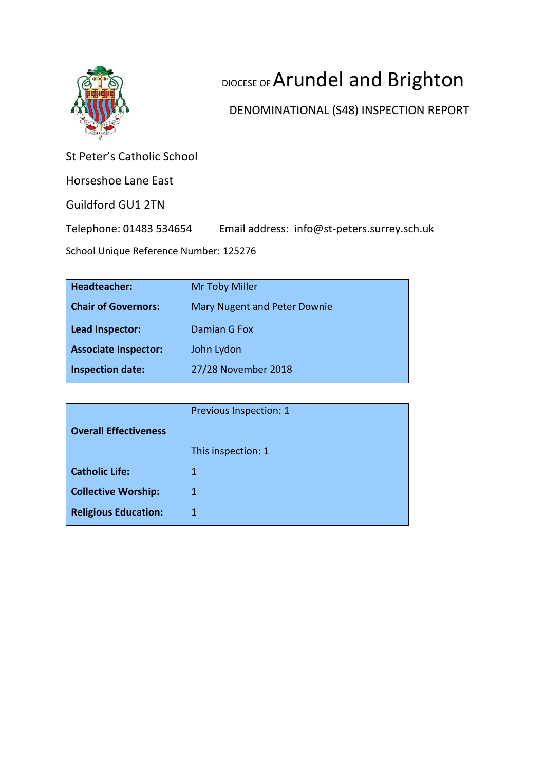

# DIOCESE OF Arundel and Brighton

## DENOMINATIONAL (S48) INSPECTION REPORT

St Peter's Catholic School

Horseshoe Lane East

Guildford GU1 2TN

Telephone: 01483 534654 Email address: info@st-peters.surrey.sch.uk

School Unique Reference Number: 125276

| <b>Headteacher:</b>         | Mr Toby Miller               |
|-----------------------------|------------------------------|
| <b>Chair of Governors:</b>  | Mary Nugent and Peter Downie |
| Lead Inspector:             | Damian G Fox                 |
| <b>Associate Inspector:</b> | John Lydon                   |
| <b>Inspection date:</b>     | 27/28 November 2018          |

|                              | Previous Inspection: 1 |
|------------------------------|------------------------|
| <b>Overall Effectiveness</b> |                        |
|                              | This inspection: 1     |
| <b>Catholic Life:</b>        |                        |
| <b>Collective Worship:</b>   | 1                      |
| <b>Religious Education:</b>  | 1                      |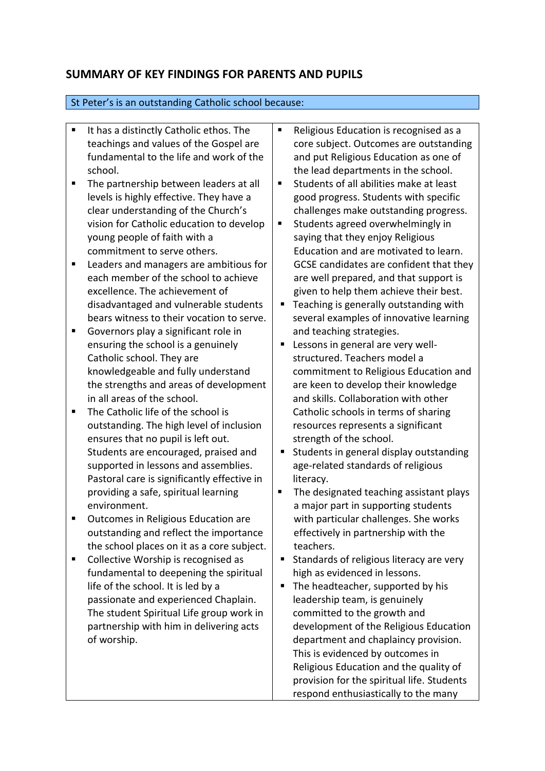### **SUMMARY OF KEY FINDINGS FOR PARENTS AND PUPILS**

#### St Peter's is an outstanding Catholic school because:

- It has a distinctly Catholic ethos. The teachings and values of the Gospel are fundamental to the life and work of the school.
- The partnership between leaders at all levels is highly effective. They have a clear understanding of the Church's vision for Catholic education to develop young people of faith with a commitment to serve others.
- Leaders and managers are ambitious for each member of the school to achieve excellence. The achievement of disadvantaged and vulnerable students bears witness to their vocation to serve.
- Governors play a significant role in ensuring the school is a genuinely Catholic school. They are knowledgeable and fully understand the strengths and areas of development in all areas of the school.
- The Catholic life of the school is outstanding. The high level of inclusion ensures that no pupil is left out. Students are encouraged, praised and supported in lessons and assemblies. Pastoral care is significantly effective in providing a safe, spiritual learning environment.
- Outcomes in Religious Education are outstanding and reflect the importance the school places on it as a core subject.
- Collective Worship is recognised as fundamental to deepening the spiritual life of the school. It is led by a passionate and experienced Chaplain. The student Spiritual Life group work in partnership with him in delivering acts of worship.
- Religious Education is recognised as a core subject. Outcomes are outstanding and put Religious Education as one of the lead departments in the school.
- Students of all abilities make at least good progress. Students with specific challenges make outstanding progress.
- Students agreed overwhelmingly in saying that they enjoy Religious Education and are motivated to learn. GCSE candidates are confident that they are well prepared, and that support is given to help them achieve their best.
- Teaching is generally outstanding with several examples of innovative learning and teaching strategies.
- Lessons in general are very wellstructured. Teachers model a commitment to Religious Education and are keen to develop their knowledge and skills. Collaboration with other Catholic schools in terms of sharing resources represents a significant strength of the school.
- Students in general display outstanding age-related standards of religious literacy.
- The designated teaching assistant plays a major part in supporting students with particular challenges. She works effectively in partnership with the teachers.
- Standards of religious literacy are very high as evidenced in lessons.
- The headteacher, supported by his leadership team, is genuinely committed to the growth and development of the Religious Education department and chaplaincy provision. This is evidenced by outcomes in Religious Education and the quality of provision for the spiritual life. Students respond enthusiastically to the many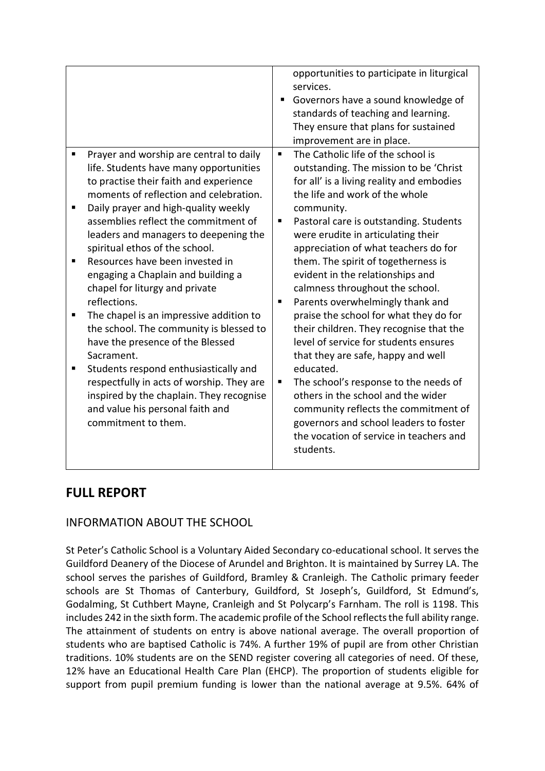| ٠                                                                                                                                                                                                                                                                                                                                                                                                                                                                                                                                                                                                                                                                                                                                                                                                                    | opportunities to participate in liturgical<br>services.<br>Governors have a sound knowledge of<br>п<br>standards of teaching and learning.<br>They ensure that plans for sustained<br>improvement are in place.<br>The Catholic life of the school is<br>٠                                                                                                                                                                                                                                                                                                                                                                                                                                                                                                                                                                             |
|----------------------------------------------------------------------------------------------------------------------------------------------------------------------------------------------------------------------------------------------------------------------------------------------------------------------------------------------------------------------------------------------------------------------------------------------------------------------------------------------------------------------------------------------------------------------------------------------------------------------------------------------------------------------------------------------------------------------------------------------------------------------------------------------------------------------|----------------------------------------------------------------------------------------------------------------------------------------------------------------------------------------------------------------------------------------------------------------------------------------------------------------------------------------------------------------------------------------------------------------------------------------------------------------------------------------------------------------------------------------------------------------------------------------------------------------------------------------------------------------------------------------------------------------------------------------------------------------------------------------------------------------------------------------|
| Prayer and worship are central to daily<br>life. Students have many opportunities<br>to practise their faith and experience<br>moments of reflection and celebration.<br>Daily prayer and high-quality weekly<br>п<br>assemblies reflect the commitment of<br>leaders and managers to deepening the<br>spiritual ethos of the school.<br>Resources have been invested in<br>п<br>engaging a Chaplain and building a<br>chapel for liturgy and private<br>reflections.<br>The chapel is an impressive addition to<br>п<br>the school. The community is blessed to<br>have the presence of the Blessed<br>Sacrament.<br>Students respond enthusiastically and<br>п<br>respectfully in acts of worship. They are<br>inspired by the chaplain. They recognise<br>and value his personal faith and<br>commitment to them. | outstanding. The mission to be 'Christ<br>for all' is a living reality and embodies<br>the life and work of the whole<br>community.<br>Pastoral care is outstanding. Students<br>п<br>were erudite in articulating their<br>appreciation of what teachers do for<br>them. The spirit of togetherness is<br>evident in the relationships and<br>calmness throughout the school.<br>Parents overwhelmingly thank and<br>п<br>praise the school for what they do for<br>their children. They recognise that the<br>level of service for students ensures<br>that they are safe, happy and well<br>educated.<br>The school's response to the needs of<br>ш<br>others in the school and the wider<br>community reflects the commitment of<br>governors and school leaders to foster<br>the vocation of service in teachers and<br>students. |

### **FULL REPORT**

### INFORMATION ABOUT THE SCHOOL

St Peter's Catholic School is a Voluntary Aided Secondary co-educational school. It serves the Guildford Deanery of the Diocese of Arundel and Brighton. It is maintained by Surrey LA. The school serves the parishes of Guildford, Bramley & Cranleigh. The Catholic primary feeder schools are St Thomas of Canterbury, Guildford, St Joseph's, Guildford, St Edmund's, Godalming, St Cuthbert Mayne, Cranleigh and St Polycarp's Farnham. The roll is 1198. This includes 242 in the sixth form. The academic profile of the School reflects the full ability range. The attainment of students on entry is above national average. The overall proportion of students who are baptised Catholic is 74%. A further 19% of pupil are from other Christian traditions. 10% students are on the SEND register covering all categories of need. Of these, 12% have an Educational Health Care Plan (EHCP). The proportion of students eligible for support from pupil premium funding is lower than the national average at 9.5%. 64% of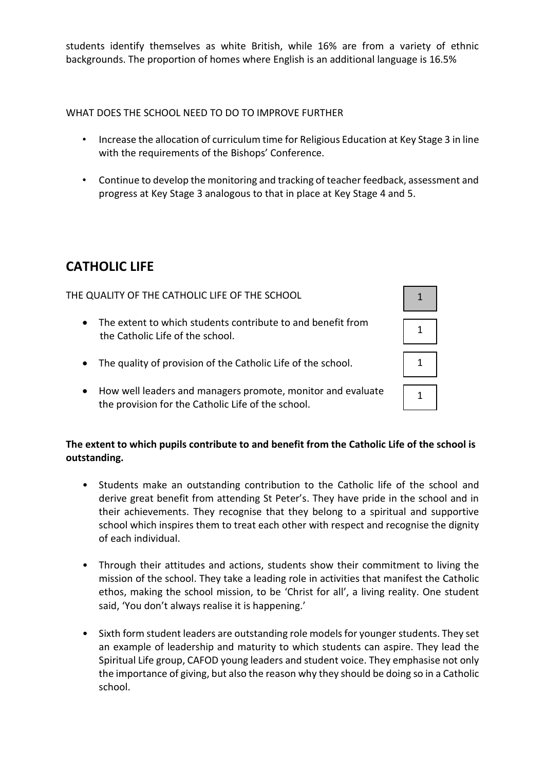students identify themselves as white British, while 16% are from a variety of ethnic backgrounds. The proportion of homes where English is an additional language is 16.5%

WHAT DOES THE SCHOOL NEED TO DO TO IMPROVE FURTHER

- Increase the allocation of curriculum time for Religious Education at Key Stage 3 in line with the requirements of the Bishops' Conference.
- Continue to develop the monitoring and tracking of teacher feedback, assessment and progress at Key Stage 3 analogous to that in place at Key Stage 4 and 5.

### **CATHOLIC LIFE**

THE QUALITY OF THE CATHOLIC LIFE OF THE SCHOOL

- The extent to which students contribute to and benefit from the Catholic Life of the school.
- The quality of provision of the Catholic Life of the school.
- How well leaders and managers promote, monitor and evaluate the provision for the Catholic Life of the school.

### **The extent to which pupils contribute to and benefit from the Catholic Life of the school is outstanding.**

- Students make an outstanding contribution to the Catholic life of the school and derive great benefit from attending St Peter's. They have pride in the school and in their achievements. They recognise that they belong to a spiritual and supportive school which inspires them to treat each other with respect and recognise the dignity of each individual.
- Through their attitudes and actions, students show their commitment to living the mission of the school. They take a leading role in activities that manifest the Catholic ethos, making the school mission, to be 'Christ for all', a living reality. One student said, 'You don't always realise it is happening.'
- Sixth form student leaders are outstanding role models for younger students. They set an example of leadership and maturity to which students can aspire. They lead the Spiritual Life group, CAFOD young leaders and student voice. They emphasise not only the importance of giving, but also the reason why they should be doing so in a Catholic school.

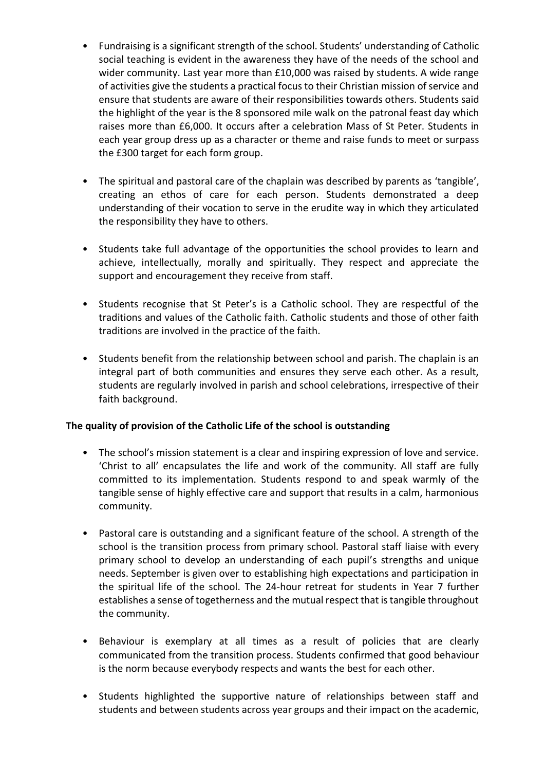- Fundraising is a significant strength of the school. Students' understanding of Catholic social teaching is evident in the awareness they have of the needs of the school and wider community. Last year more than £10,000 was raised by students. A wide range of activities give the students a practical focus to their Christian mission of service and ensure that students are aware of their responsibilities towards others. Students said the highlight of the year is the 8 sponsored mile walk on the patronal feast day which raises more than £6,000. It occurs after a celebration Mass of St Peter. Students in each year group dress up as a character or theme and raise funds to meet or surpass the £300 target for each form group.
- The spiritual and pastoral care of the chaplain was described by parents as 'tangible', creating an ethos of care for each person. Students demonstrated a deep understanding of their vocation to serve in the erudite way in which they articulated the responsibility they have to others.
- Students take full advantage of the opportunities the school provides to learn and achieve, intellectually, morally and spiritually. They respect and appreciate the support and encouragement they receive from staff.
- Students recognise that St Peter's is a Catholic school. They are respectful of the traditions and values of the Catholic faith. Catholic students and those of other faith traditions are involved in the practice of the faith.
- Students benefit from the relationship between school and parish. The chaplain is an integral part of both communities and ensures they serve each other. As a result, students are regularly involved in parish and school celebrations, irrespective of their faith background.

### **The quality of provision of the Catholic Life of the school is outstanding**

- The school's mission statement is a clear and inspiring expression of love and service. 'Christ to all' encapsulates the life and work of the community. All staff are fully committed to its implementation. Students respond to and speak warmly of the tangible sense of highly effective care and support that results in a calm, harmonious community.
- Pastoral care is outstanding and a significant feature of the school. A strength of the school is the transition process from primary school. Pastoral staff liaise with every primary school to develop an understanding of each pupil's strengths and unique needs. September is given over to establishing high expectations and participation in the spiritual life of the school. The 24-hour retreat for students in Year 7 further establishes a sense of togetherness and the mutual respect that is tangible throughout the community.
- Behaviour is exemplary at all times as a result of policies that are clearly communicated from the transition process. Students confirmed that good behaviour is the norm because everybody respects and wants the best for each other.
- Students highlighted the supportive nature of relationships between staff and students and between students across year groups and their impact on the academic,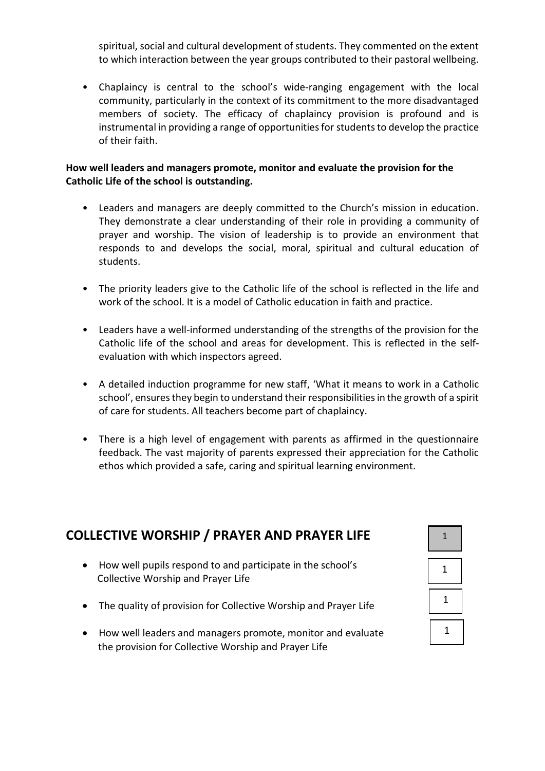spiritual, social and cultural development of students. They commented on the extent to which interaction between the year groups contributed to their pastoral wellbeing.

• Chaplaincy is central to the school's wide-ranging engagement with the local community, particularly in the context of its commitment to the more disadvantaged members of society. The efficacy of chaplaincy provision is profound and is instrumental in providing a range of opportunities for students to develop the practice of their faith.

### **How well leaders and managers promote, monitor and evaluate the provision for the Catholic Life of the school is outstanding.**

- Leaders and managers are deeply committed to the Church's mission in education. They demonstrate a clear understanding of their role in providing a community of prayer and worship. The vision of leadership is to provide an environment that responds to and develops the social, moral, spiritual and cultural education of students.
- The priority leaders give to the Catholic life of the school is reflected in the life and work of the school. It is a model of Catholic education in faith and practice.
- Leaders have a well-informed understanding of the strengths of the provision for the Catholic life of the school and areas for development. This is reflected in the selfevaluation with which inspectors agreed.
- A detailed induction programme for new staff, 'What it means to work in a Catholic school', ensures they begin to understand their responsibilities in the growth of a spirit of care for students. All teachers become part of chaplaincy.
- There is a high level of engagement with parents as affirmed in the questionnaire feedback. The vast majority of parents expressed their appreciation for the Catholic ethos which provided a safe, caring and spiritual learning environment.

| <b>ILLECTIVE WORSHIP / PRAYER AND PRAYER LIFE</b> |                                                                                                                     |  |
|---------------------------------------------------|---------------------------------------------------------------------------------------------------------------------|--|
| $\bullet$                                         | How well pupils respond to and participate in the school's<br>Collective Worship and Prayer Life                    |  |
| $\bullet$                                         | The quality of provision for Collective Worship and Prayer Life                                                     |  |
| $\bullet$                                         | How well leaders and managers promote, monitor and evaluate<br>the provision for Collective Worship and Prayer Life |  |

# **COLLECTIVE WORSHIP**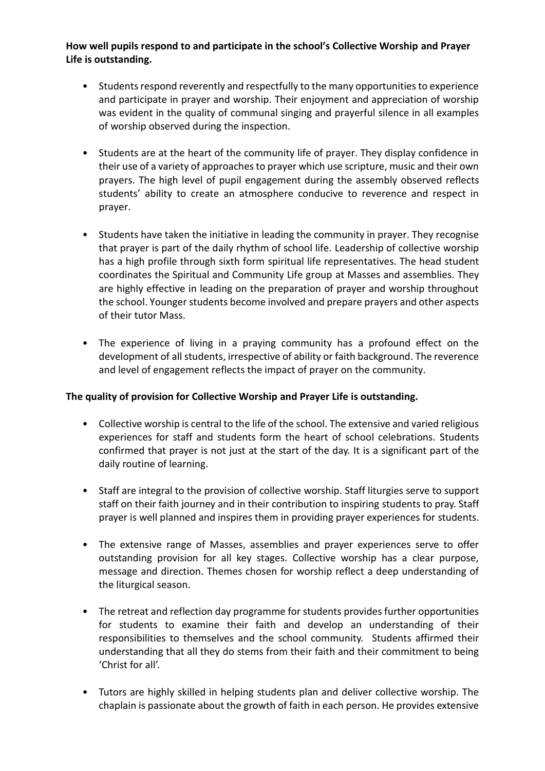### **How well pupils respond to and participate in the school's Collective Worship and Prayer Life is outstanding.**

- Students respond reverently and respectfully to the many opportunities to experience and participate in prayer and worship. Their enjoyment and appreciation of worship was evident in the quality of communal singing and prayerful silence in all examples of worship observed during the inspection.
- Students are at the heart of the community life of prayer. They display confidence in their use of a variety of approaches to prayer which use scripture, music and their own prayers. The high level of pupil engagement during the assembly observed reflects students' ability to create an atmosphere conducive to reverence and respect in prayer.
- Students have taken the initiative in leading the community in prayer. They recognise that prayer is part of the daily rhythm of school life. Leadership of collective worship has a high profile through sixth form spiritual life representatives. The head student coordinates the Spiritual and Community Life group at Masses and assemblies. They are highly effective in leading on the preparation of prayer and worship throughout the school. Younger students become involved and prepare prayers and other aspects of their tutor Mass.
- The experience of living in a praying community has a profound effect on the development of all students, irrespective of ability or faith background. The reverence and level of engagement reflects the impact of prayer on the community.

### **The quality of provision for Collective Worship and Prayer Life is outstanding.**

- Collective worship is central to the life of the school. The extensive and varied religious experiences for staff and students form the heart of school celebrations. Students confirmed that prayer is not just at the start of the day. It is a significant part of the daily routine of learning.
- Staff are integral to the provision of collective worship. Staff liturgies serve to support staff on their faith journey and in their contribution to inspiring students to pray. Staff prayer is well planned and inspires them in providing prayer experiences for students.
- The extensive range of Masses, assemblies and prayer experiences serve to offer outstanding provision for all key stages. Collective worship has a clear purpose, message and direction. Themes chosen for worship reflect a deep understanding of the liturgical season.
- The retreat and reflection day programme for students provides further opportunities for students to examine their faith and develop an understanding of their responsibilities to themselves and the school community. Students affirmed their understanding that all they do stems from their faith and their commitment to being 'Christ for all'.
- Tutors are highly skilled in helping students plan and deliver collective worship. The chaplain is passionate about the growth of faith in each person. He provides extensive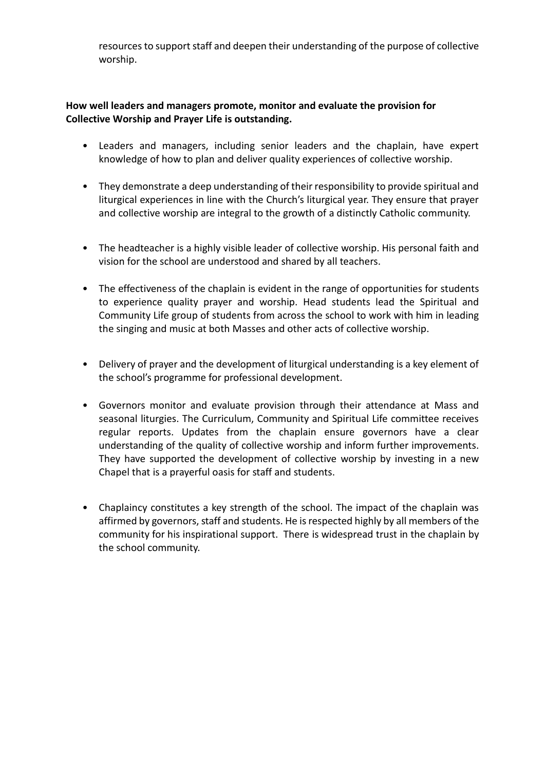resources to support staff and deepen their understanding of the purpose of collective worship.

### **How well leaders and managers promote, monitor and evaluate the provision for Collective Worship and Prayer Life is outstanding.**

- Leaders and managers, including senior leaders and the chaplain, have expert knowledge of how to plan and deliver quality experiences of collective worship.
- They demonstrate a deep understanding of their responsibility to provide spiritual and liturgical experiences in line with the Church's liturgical year. They ensure that prayer and collective worship are integral to the growth of a distinctly Catholic community.
- The headteacher is a highly visible leader of collective worship. His personal faith and vision for the school are understood and shared by all teachers.
- The effectiveness of the chaplain is evident in the range of opportunities for students to experience quality prayer and worship. Head students lead the Spiritual and Community Life group of students from across the school to work with him in leading the singing and music at both Masses and other acts of collective worship.
- Delivery of prayer and the development of liturgical understanding is a key element of the school's programme for professional development.
- Governors monitor and evaluate provision through their attendance at Mass and seasonal liturgies. The Curriculum, Community and Spiritual Life committee receives regular reports. Updates from the chaplain ensure governors have a clear understanding of the quality of collective worship and inform further improvements. They have supported the development of collective worship by investing in a new Chapel that is a prayerful oasis for staff and students.
- Chaplaincy constitutes a key strength of the school. The impact of the chaplain was affirmed by governors, staff and students. He is respected highly by all members of the community for his inspirational support. There is widespread trust in the chaplain by the school community.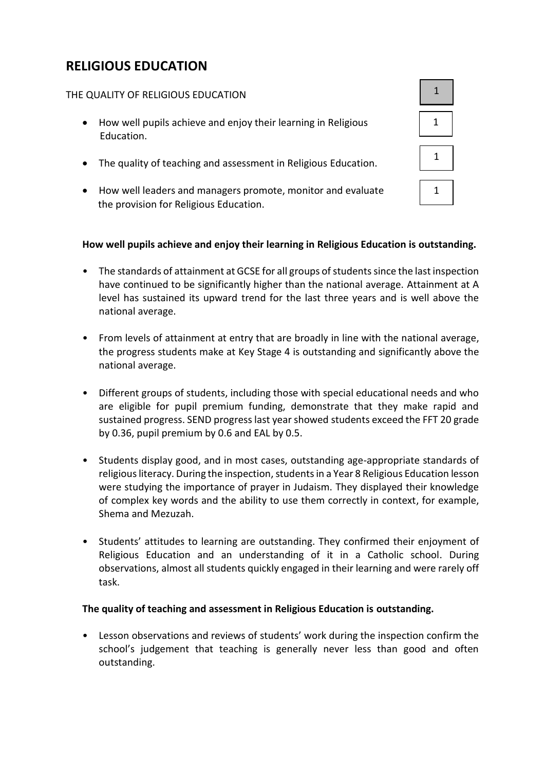# **RELIGIOUS EDUCATION**

### THE QUALITY OF RELIGIOUS EDUCATION

- How well pupils achieve and enjoy their learning in Religious Education.
- The quality of teaching and assessment in Religious Education.
- How well leaders and managers promote, monitor and evaluate the provision for Religious Education.

### **How well pupils achieve and enjoy their learning in Religious Education is outstanding.**

- The standards of attainment at GCSE for all groups of students since the last inspection have continued to be significantly higher than the national average. Attainment at A level has sustained its upward trend for the last three years and is well above the national average.
- From levels of attainment at entry that are broadly in line with the national average, the progress students make at Key Stage 4 is outstanding and significantly above the national average.
- Different groups of students, including those with special educational needs and who are eligible for pupil premium funding, demonstrate that they make rapid and sustained progress. SEND progress last year showed students exceed the FFT 20 grade by 0.36, pupil premium by 0.6 and EAL by 0.5.
- Students display good, and in most cases, outstanding age-appropriate standards of religious literacy. During the inspection, students in a Year 8 Religious Education lesson were studying the importance of prayer in Judaism. They displayed their knowledge of complex key words and the ability to use them correctly in context, for example, Shema and Mezuzah.
- Students' attitudes to learning are outstanding. They confirmed their enjoyment of Religious Education and an understanding of it in a Catholic school. During observations, almost all students quickly engaged in their learning and were rarely off task.

#### **The quality of teaching and assessment in Religious Education is outstanding.**

Lesson observations and reviews of students' work during the inspection confirm the school's judgement that teaching is generally never less than good and often outstanding.

| $\mathbf{1}$ |  |
|--------------|--|
| $\mathbf 1$  |  |
| 1            |  |
| 1            |  |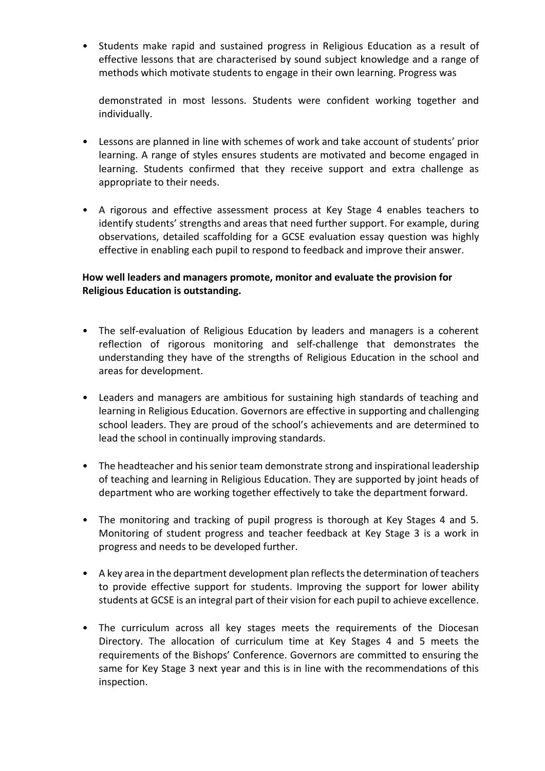• Students make rapid and sustained progress in Religious Education as a result of effective lessons that are characterised by sound subject knowledge and a range of methods which motivate students to engage in their own learning. Progress was

demonstrated in most lessons. Students were confident working together and individually.

- Lessons are planned in line with schemes of work and take account of students' prior learning. A range of styles ensures students are motivated and become engaged in learning. Students confirmed that they receive support and extra challenge as appropriate to their needs.
- A rigorous and effective assessment process at Key Stage 4 enables teachers to identify students' strengths and areas that need further support. For example, during observations, detailed scaffolding for a GCSE evaluation essay question was highly effective in enabling each pupil to respond to feedback and improve their answer.

### **How well leaders and managers promote, monitor and evaluate the provision for Religious Education is outstanding.**

- The self-evaluation of Religious Education by leaders and managers is a coherent reflection of rigorous monitoring and self-challenge that demonstrates the understanding they have of the strengths of Religious Education in the school and areas for development.
- Leaders and managers are ambitious for sustaining high standards of teaching and learning in Religious Education. Governors are effective in supporting and challenging school leaders. They are proud of the school's achievements and are determined to lead the school in continually improving standards.
- The headteacher and his senior team demonstrate strong and inspirational leadership of teaching and learning in Religious Education. They are supported by joint heads of department who are working together effectively to take the department forward.
- The monitoring and tracking of pupil progress is thorough at Key Stages 4 and 5. Monitoring of student progress and teacher feedback at Key Stage 3 is a work in progress and needs to be developed further.
- A key area in the department development plan reflects the determination of teachers to provide effective support for students. Improving the support for lower ability students at GCSE is an integral part of their vision for each pupil to achieve excellence.
- The curriculum across all key stages meets the requirements of the Diocesan Directory. The allocation of curriculum time at Key Stages 4 and 5 meets the requirements of the Bishops' Conference. Governors are committed to ensuring the same for Key Stage 3 next year and this is in line with the recommendations of this inspection.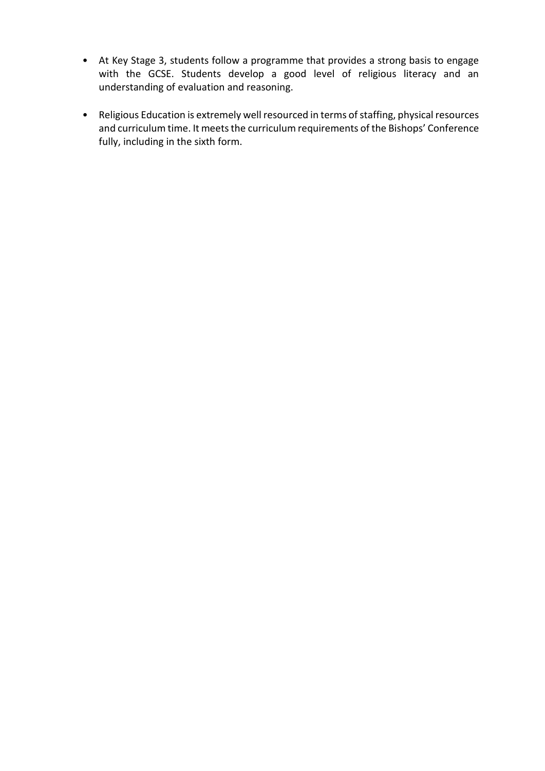- At Key Stage 3, students follow a programme that provides a strong basis to engage with the GCSE. Students develop a good level of religious literacy and an understanding of evaluation and reasoning.
- Religious Education is extremely well resourced in terms of staffing, physical resources and curriculum time. It meets the curriculum requirements of the Bishops' Conference fully, including in the sixth form.